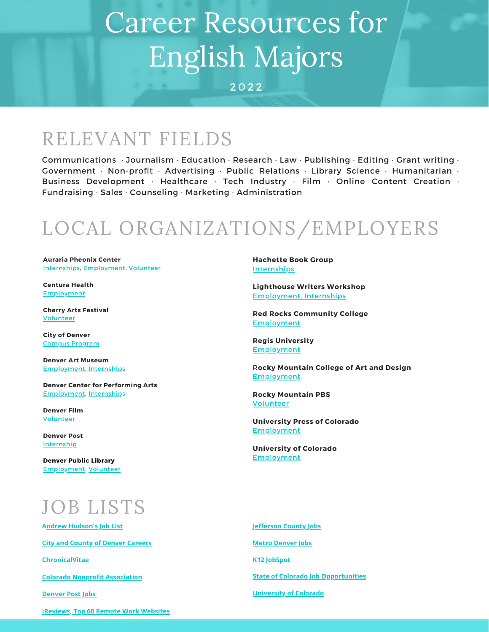# Career Resources for English Majors

2 0 2 2

### RELEVANT FIELDS

Communications · Journalism · Education · Research · Law · Publishing · Editing · Grant writing · Government · Non-profit · Advertising · Public Relations · Library Science · Humanitarian · Business Development · Healthcare · Tech Industry · Film · Online Content Creation · Fundraising · Sales · Counseling · Marketing · Administration

## LOCAL ORGANIZATIONS/EMPLOYERS

**Auraria Pheonix Center** [Internships](https://www.thepca.org/internships), [Employment](https://www.thepca.org/employment), [Volunteer](https://www.thepca.org/helping-hands)

**Centura Health** [Employment](https://www.centura.org/careers)

**Cherry Arts Festival** [Volunteer](https://cherrycreekartsfestival.org/volunteer/)

**City of Denver** Campus [Program](https://www.denvergov.org/content/denvergov/en/denver-human-resources/campus-relations-program.html)

**Denver Art Museum** [Employment,](https://denverartmuseum.org/museum-education-internships) Internships

**Denver Center for Performing Arts** [Employment,](https://workforcenow.adp.com/mascsr/default/mdf/recruitment/recruitment.html?cid=db8cc8a9-0076-4ae6-8e54-9cd734aa1e8e&ccId=19000101_000001&type=MP&lang=en_US) [Internship](https://www.denvercenter.org/about-us/careers/#internships)s

**Denver Film** [Volunteer](https://denverfilmfestival.denverfilm.org/support/volunteer/)

**Denver Post** [Internship](https://www.denverpost.com/internships/)

**Denver Public Library** [Employment,](https://www.denverlibrary.org/content/denver-public-library-jobs) [Volunteer](https://www.denverlibrary.org/volunteer)

## JOB LISTS

**[Andrew Hudson's Job List](https://andrewhudsonsjobslist.com/search/#results/5e97408425ff8c7e0c95a09a?page_num=1&kw=)**

**[City and County of Denver Careers](https://denver.wd1.myworkdayjobs.com/CCD-denver-denvergov-CSC_Jobs-Civil_service_jobs-Police_Jobs-Fire_Jobs)**

**[ChronicalVitae](https://chroniclevitae.com/job_search/new)**

**[Colorado Nonprofit Association](https://www.coloradononprofits.org/careers/nonprofit-jobs)**

**[Denver Post Jobs](https://jobs.denverpost.com/)**

**Hachette Book Group** [Internships](https://www.hachettebookgroup.com/about/careers/)

**Lighthouse Writers Workshop** [Employment,](https://www.lighthousewriters.org/careers) Internships

**Red Rocks Community College [Employment](https://www.rrcc.edu/human-resources/jobs)** 

**Regis University [Employment](https://www.regis.edu/About-Regis-University/University-Offices-and-Services/Human-Resources/Career-Opportunities.aspx)** 

R**ocky Mountain College of Art and Design** [Employment](https://www.rmcad.edu/get-to-know-us/careers/)

**Rocky Mountain PBS** [Volunteer](http://www.rmpbs.org/volunteer/?gclid=EAIaIQobChMIypC0lPXZ6AIVENvACh3QCAXMEAAYASAAEgLQWfD_BwE)

**University Press of Colorado [Employment](https://upcolorado.com/about-us/employment)** 

**University of Colorado** [Employment](https://www.cu.edu/cu-careers)

**[Jefferson](https://www.governmentjobs.com/careers/jefferson) County Jobs Metro [Denver](http://www.metrodenver.org/resources/metro-denver-jobs/) Jobs K12 [JobSpot](https://www.k12jobspot.com/Search/Opportunities?keywords=&location=colorado&stateFilterValue=Colorado) State of Colorado Job [Opportunities](https://www.governmentjobs.com/careers/colorado) [University](https://www.cu.edu/cu-careers) of Colorado**

**[iReviews, Top 60 Remote Work Websites](https://www.ireviews.com/the-top-60-remote-work-websites-for-new-opportunities-in-2022/)**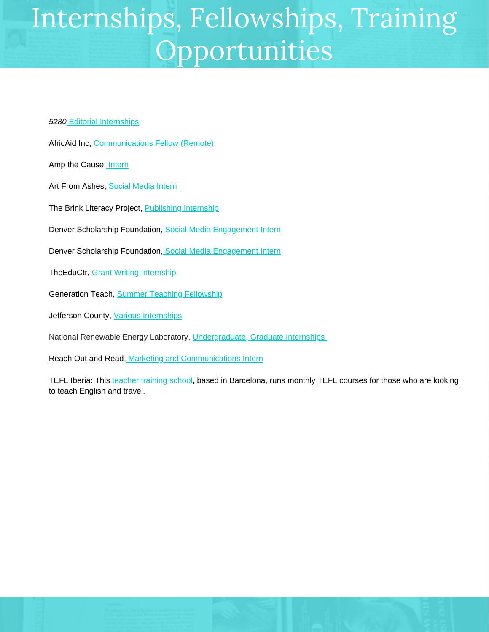## Internships, Fellowships, Training Opportunities

#### *[5280](https://www.5280.com/job-opportunities/)* Editorial [Internships](https://www.5280.com/job-opportunities/)

- AfricAid Inc[,](https://www.coloradononprofits.org/careers/nonprofit-internships/communications-fellow-remote) [Communications](https://www.coloradononprofits.org/careers/nonprofit-internships/communications-fellow-remote) Fellow (Remote)
- Amp the Cause, [Intern](https://www.coloradononprofits.org/careers/nonprofit-internships/intern-2)
- Art From Ashes, Social [Media](https://www.coloradononprofits.org/careers/nonprofit-internships/social-media-intern-5) Intern
- The Brink Literacy Project, [Publishing](https://www.brinklit.org/education/internship/) Internship
- Denver Scholarship Foundation, [S](https://coloradononprofits.org/careers/nonprofit-internships/social-media-engagement-intern)ocial Media [Engagement](https://coloradononprofits.org/careers/nonprofit-internships/social-media-engagement-intern) Intern
- Denver Scholarship Foundation, Social Media [Engagement](https://www.coloradononprofits.org/careers/nonprofit-internships/social-media-engagement-intern) Intern
- TheEduCtr, Grant Writing [Internship](https://www.coloradononprofits.org/careers/nonprofit-internships/grant-writing-internship-0)
- Generation Teach, Summer Teaching [Fellowship](https://drive.google.com/file/d/1DVkAF4ptc5jsqnaBaPDoGD-yzqI1lYP2/view)
- Jefferson County, Various [Internships](https://www.governmentjobs.com/careers/jefferson/jobs/2740518/jefferson-county-internships-interest?page=1&pagetype=jobOpportunitiesJobs)
- National Renewable Energy Laboratory, [Undergraduate,](https://www.nrel.gov/careers/internships.html) Graduate Internships
- Reach Out and Read, Marketing and [Communications](https://andrewhudsonsjobslist.com/jobs/paid-marketing-communications-intern-in-denver-denver-county-colorado-us/) Intern
- TEFL Iberia: This [teacher](https://tefl-iberia.com/) training school, based in Barcelona, runs monthly TEFL courses for those who are looking to teach English and travel.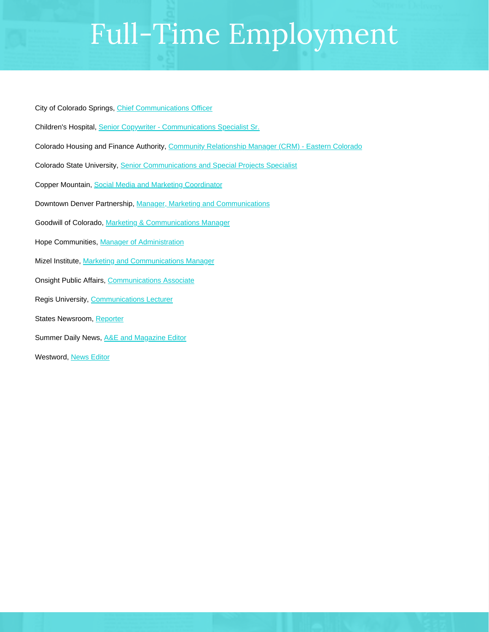# Full-Time Employment

City of Colorado Springs, [Chief Communications Officer](https://andrewhudsonsjobslist.com/jobs/chief-communications-officer-in-colorado-springs-el-paso-county-colorado-us/)

- Children's Hospital, [Senior Copywriter Communications Specialist Sr.](https://andrewhudsonsjobslist.com/jobs/senior-copywriter-communications-specialist-sr-in-aurora-adams-colorado-us/)
- Colorado Housing and Finance Authority, [Community Relationship Manager \(CRM\) Eastern Colorado](https://andrewhudsonsjobslist.com/jobs/community-relationship-manager-crm-eastern-colorado-remote-in-denver-county-colorado-us/)
- Colorado State University, [Senior Communications and Special Projects Specialist](https://andrewhudsonsjobslist.com/jobs/senior-communications-and-special-projects-specialist-in-denver-county-colorado-us-2/)
- Copper Mountain, [Social Media and Marketing Coordinator](https://andrewhudsonsjobslist.com/jobs/social-media-and-marketing-coordinator-in-summit-county-colorado-us/)
- Downtown Denver Partnership, [Manager, Marketing and Communications](https://andrewhudsonsjobslist.com/jobs/manager-marketing-and-communications-in-denver-denver-county-colorado-us/)
- Goodwill of Colorado, Marketing & Communications Manager
- Hope Communities, [Manager of Administration](https://andrewhudsonsjobslist.com/jobs/manager-of-administration-in-fort-morgan-morgan-county-colorado-us/)
- Mizel Institute, [Marketing and Communications Manager](https://andrewhudsonsjobslist.com/jobs/marketing-and-communications-manager-in-denver-adams-colorado-us/)
- Onsight Public Affairs, [Communications Associate](https://andrewhudsonsjobslist.com/jobs/communications-associate-remote-in-boulder-boulder-county-colorado-us/)
- Regis University, [Communications Lecturer](https://andrewhudsonsjobslist.com/jobs/communications-lecturer-in-denver-county-colorado-us/)
- States Newsroom, [Reporter](https://andrewhudsonsjobslist.com/jobs/reporter-in-denver-county-colorado-us-2/)
- Summer Daily News, [A&E and Magazine Editor](https://andrewhudsonsjobslist.com/jobs/ae-and-magazine-editor-in-summit-county-colorado-us/)

Westword, [News Editor](https://andrewhudsonsjobslist.com/jobs/news-editor-in-denver-county-colorado-us/)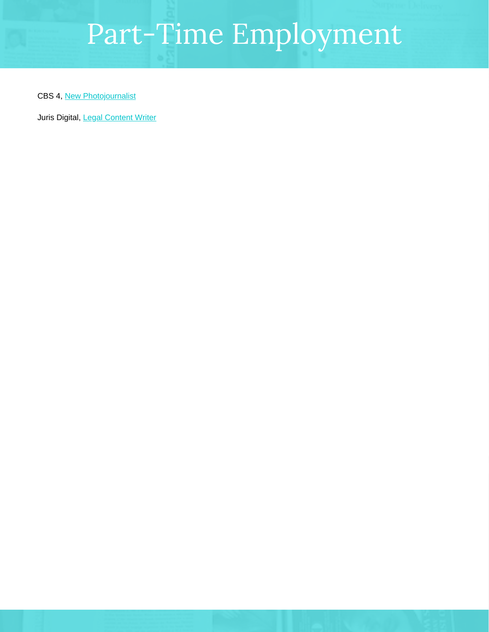# Part-Time Employment

CBS 4, New [Photojournalist](https://andrewhudsonsjobslist.com/jobs/new-photojournalist-part-time-in-denver-county-colorado-us/)

Juris Digital, Legal [Content](https://www.indeed.com/viewjob?jk=a593765248fb0a21&tk=1eegpokphp9ch800&from=serp&vjs=3) Writer